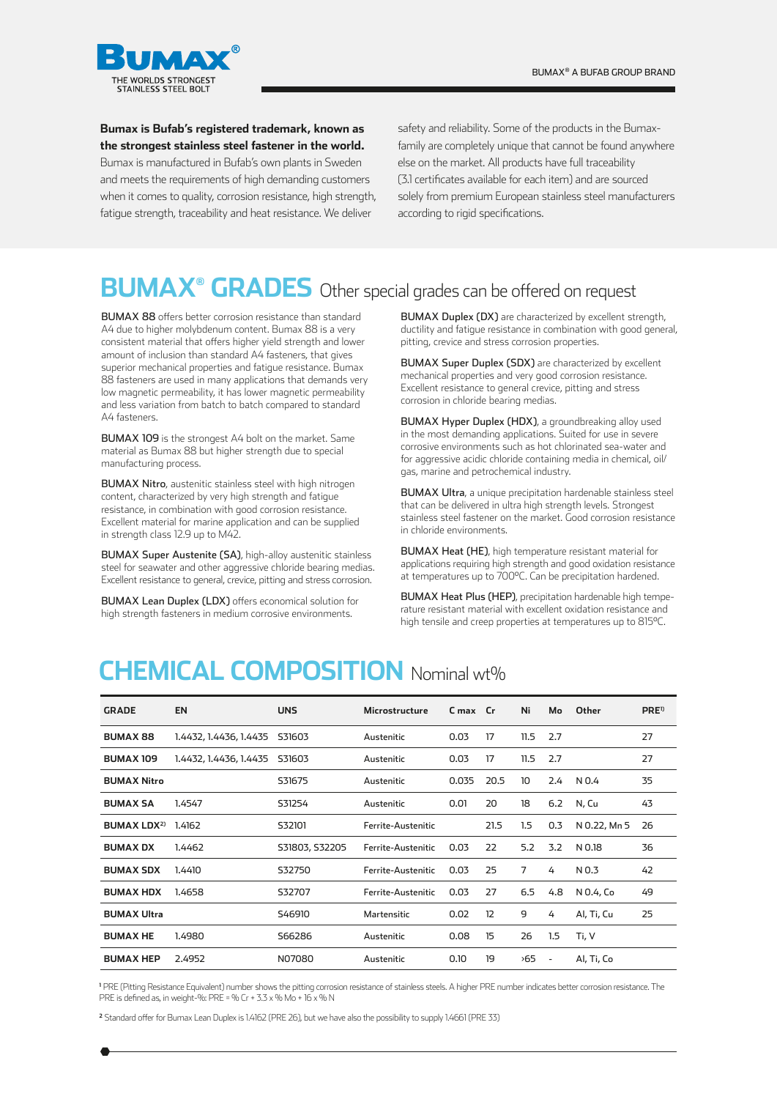

**Bumax is Bufab's registered trademark, known as the strongest stainless steel fastener in the world.**

Bumax is manufactured in Bufab's own plants in Sweden and meets the requirements of high demanding customers when it comes to quality, corrosion resistance, high strength, fatigue strength, traceability and heat resistance. We deliver

safety and reliability. Some of the products in the Bumaxfamily are completely unique that cannot be found anywhere else on the market. All products have full traceability (3.1 certificates available for each item) and are sourced solely from premium European stainless steel manufacturers according to rigid specifications.

#### **BUMAX® GRADES** Other special grades can be offered on request

BUMAX 88 offers better corrosion resistance than standard A4 due to higher molybdenum content. Bumax 88 is a very consistent material that offers higher yield strength and lower amount of inclusion than standard A4 fasteners, that gives superior mechanical properties and fatigue resistance. Bumax 88 fasteners are used in many applications that demands very low magnetic permeability, it has lower magnetic permeability and less variation from batch to batch compared to standard A4 fasteners.

BUMAX 109 is the strongest A4 bolt on the market. Same material as Bumax 88 but higher strength due to special manufacturing process.

BUMAX Nitro, austenitic stainless steel with high nitrogen content, characterized by very high strength and fatigue resistance, in combination with good corrosion resistance. Excellent material for marine application and can be supplied in strength class 12.9 up to M42.

BUMAX Super Austenite (SA), high-alloy austenitic stainless steel for seawater and other aggressive chloride bearing medias. Excellent resistance to general, crevice, pitting and stress corrosion.

BUMAX Lean Duplex (LDX) offers economical solution for high strength fasteners in medium corrosive environments.

BUMAX Duplex (DX) are characterized by excellent strength, ductility and fatigue resistance in combination with good general, pitting, crevice and stress corrosion properties.

BUMAX Super Duplex (SDX) are characterized by excellent mechanical properties and very good corrosion resistance. Excellent resistance to general crevice, pitting and stress corrosion in chloride bearing medias.

BUMAX Hyper Duplex (HDX), a groundbreaking alloy used in the most demanding applications. Suited for use in severe corrosive environments such as hot chlorinated sea-water and for aggressive acidic chloride containing media in chemical, oil/ gas, marine and petrochemical industry.

BUMAX Ultra, a unique precipitation hardenable stainless steel that can be delivered in ultra high strength levels. Strongest stainless steel fastener on the market. Good corrosion resistance in chloride environments.

BUMAX Heat (HE), high temperature resistant material for applications requiring high strength and good oxidation resistance at temperatures up to 700°C. Can be precipitation hardened.

BUMAX Heat Plus (HEP), precipitation hardenable high temperature resistant material with excellent oxidation resistance and high tensile and creep properties at temperatures up to 815°C.

#### **CHEMICAL COMPOSITION** Nominal wt%

| <b>GRADE</b>       | <b>EN</b>              | <b>UNS</b>     | <b>Microstructure</b>                                  | C max Cr |                   | Ni             | Mo      | Other        | PRE <sup>1</sup> |
|--------------------|------------------------|----------------|--------------------------------------------------------|----------|-------------------|----------------|---------|--------------|------------------|
| <b>BUMAX 88</b>    | 1.4432, 1.4436, 1.4435 | S31603         | Austenitic                                             | 0.03     | 17                | 11.5           | 2.7     |              | 27               |
| <b>BUMAX 109</b>   | 1.4432, 1.4436, 1.4435 | S31603         | Austenitic                                             | 0.03     |                   | 11.5           | 2.7     |              | 27               |
| <b>BUMAX Nitro</b> |                        | S31675         | Austenitic                                             | 0.035    | 20.5              | 10             | 2.4     | N 0.4        | 35               |
| <b>BUMAX SA</b>    | 1.4547                 | S31254         | Austenitic                                             | 0.01     | 20                | 18             | 6.2     | N, Cu        | 43               |
| <b>BUMAX LDX2)</b> | 1.4162                 | S32101         | Ferrite-Austenitic                                     |          | 21.5              | 1.5            | 0.3     | N 0.22, Mn 5 | 26               |
| <b>BUMAX DX</b>    | 1.4462                 | S31803, S32205 | Ferrite-Austenitic                                     | 0.03     | 22                | 5.2            | 3.2     | N 0.18       | 36               |
| <b>BUMAX SDX</b>   | 1.4410                 | S32750         | Ferrite-Austenitic                                     | 0.03     | 25                | $\overline{7}$ | 4       | N 0.3        | 42               |
| <b>BUMAX HDX</b>   | 1.4658                 | S32707         | Ferrite-Austenitic                                     | 0.03     | 27                | 6.5            | 4.8     | N 0.4, Co    | 49               |
| <b>BUMAX Ultra</b> |                        | S46910         | Martensitic                                            | 0.02     | $12 \overline{ }$ | 9              | 4       | Al, Ti, Cu   | 25               |
| <b>BUMAX HE</b>    | 1.4980                 | S66286         | 15<br>0.08<br>Austenitic                               |          |                   | 26             | $1.5\,$ | Ti, V        |                  |
| <b>BUMAX HEP</b>   | 2.4952                 | N07080         | 19<br>$55^{\circ}$<br>0.10<br>Austenitic<br>$\sim$ $-$ |          | Al, Ti, Co        |                |         |              |                  |

**1** PRE (Pitting Resistance Equivalent) number shows the pitting corrosion resistance of stainless steels. A higher PRE number indicates better corrosion resistance. The PRE is defined as, in weight-%: PRE = % Cr + 3.3 x % Mo + 16 x % N

**<sup>2</sup>** Standard offer for Bumax Lean Duplex is 1.4162 (PRE 26), but we have also the possibility to supply 1.4661 (PRE 33)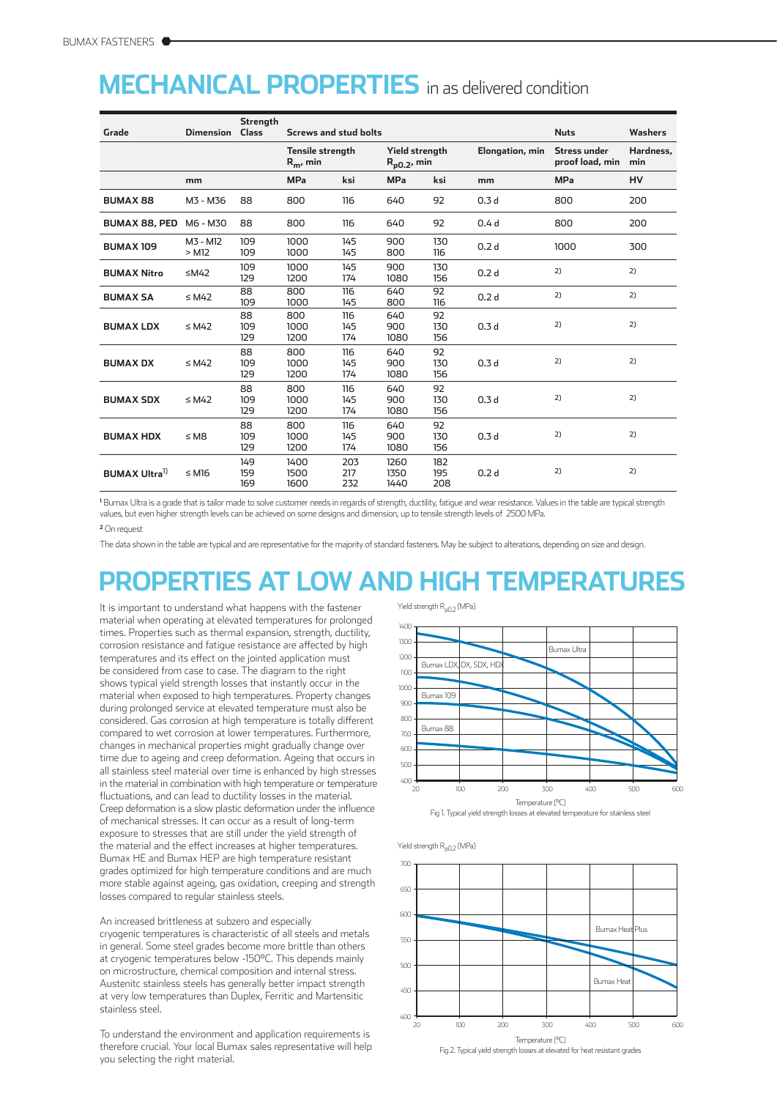### **MECHANICAL PROPERTIES** in as delivered condition

|                                  |                     | Strength          |                                              |                   |                                    |                   |                  |                                        |                  |
|----------------------------------|---------------------|-------------------|----------------------------------------------|-------------------|------------------------------------|-------------------|------------------|----------------------------------------|------------------|
| Grade                            | <b>Dimension</b>    | <b>Class</b>      | <b>Screws and stud bolts</b>                 |                   |                                    |                   | <b>Nuts</b>      | <b>Washers</b>                         |                  |
|                                  |                     |                   | <b>Tensile strength</b><br>$R_{\rm m}$ , min |                   | Yield strength<br>$R_{p0,2}$ , min |                   | Elongation, min  | <b>Stress under</b><br>proof load, min | Hardness,<br>min |
|                                  | mm                  |                   | <b>MPa</b>                                   | ksi               | <b>MPa</b>                         | ksi               | mm               | <b>MPa</b>                             | HV               |
| <b>BUMAX 88</b>                  | M3 - M36            | 88                | 800                                          | 116               | 640                                | 92                | 0.3 <sub>d</sub> | 800                                    | 200              |
| <b>BUMAX 88, PED</b>             | M6 - M30            | 88                | 800                                          | 116               | 640                                | 92                | 0.4 <sub>d</sub> | 800                                    | 200              |
| <b>BUMAX 109</b>                 | M3 - M12<br>$>$ M12 | 109<br>109        | 1000<br>1000                                 | 145<br>145        | 900<br>800                         | 130<br>116        | 0.2 <sub>d</sub> | 1000                                   | 300              |
| <b>BUMAX Nitro</b>               | ≤M42                | 109<br>129        | 1000<br>1200                                 | 145<br>174        | 900<br>1080                        | 130<br>156        | 0.2 <sub>d</sub> | 2)                                     | 2)               |
| <b>BUMAX SA</b>                  | $\leq M42$          | 88<br>109         | 800<br>1000                                  | 116<br>145        | 640<br>800                         | 92<br>116         | 0.2 <sub>d</sub> | 2)                                     | 2)               |
| <b>BUMAX LDX</b>                 | $\leq M42$          | 88<br>109<br>129  | 800<br>1000<br>1200                          | 116<br>145<br>174 | 640<br>900<br>1080                 | 92<br>130<br>156  | 0.3 <sub>d</sub> | 2)                                     | 2)               |
| <b>BUMAX DX</b>                  | $\leq M42$          | 88<br>109<br>129  | 800<br>1000<br>1200                          | 116<br>145<br>174 | 640<br>900<br>1080                 | 92<br>130<br>156  | 0.3 <sub>d</sub> | 2)                                     | 2)               |
| <b>BUMAX SDX</b>                 | $\leq M42$          | 88<br>109<br>129  | 800<br>1000<br>1200                          | 116<br>145<br>174 | 640<br>900<br>1080                 | 92<br>130<br>156  | 0.3 <sub>d</sub> | 2)                                     | 2)               |
| <b>BUMAX HDX</b>                 | $\leq M8$           | 88<br>109<br>129  | 800<br>1000<br>1200                          | 116<br>145<br>174 | 640<br>900<br>1080                 | 92<br>130<br>156  | 0.3 <sub>d</sub> | 2)                                     | 2)               |
| <b>BUMAX Ultra</b> <sup>1)</sup> | $\leq M16$          | 149<br>159<br>169 | 1400<br>1500<br>1600                         | 203<br>217<br>232 | 1260<br>1350<br>1440               | 182<br>195<br>208 | 0.2 <sub>d</sub> | 2)                                     | 2)               |

 Bumax Ultra is a grade that is tailor made to solve customer needs in regards of strength, ductility, fatigue and wear resistance. Values in the table are typical strength values, but even higher strength levels can be achieved on some designs and dimension, up to tensile strength levels of 2500 MPa.

On request

The data shown in the table are typical and are representative for the majority of standard fasteners. May be subject to alterations, depending on size and design.

# **PROPERTIES AT LOW AND HIGH TEMPERATURES**

It is important to understand what happens with the fastener material when operating at elevated temperatures for prolonged times. Properties such as thermal expansion, strength, ductility, corrosion resistance and fatigue resistance are affected by high temperatures and its effect on the jointed application must be considered from case to case. The diagram to the right shows typical yield strength losses that instantly occur in the material when exposed to high temperatures. Property changes during prolonged service at elevated temperature must also be considered. Gas corrosion at high temperature is totally different compared to wet corrosion at lower temperatures. Furthermore, changes in mechanical properties might gradually change over time due to ageing and creep deformation. Ageing that occurs in all stainless steel material over time is enhanced by high stresses in the material in combination with high temperature or temperature fluctuations, and can lead to ductility losses in the material. Creep deformation is a slow plastic deformation under the influence of mechanical stresses. It can occur as a result of long-term exposure to stresses that are still under the yield strength of the material and the effect increases at higher temperatures. Bumax HE and Bumax HEP are high temperature resistant grades optimized for high temperature conditions and are much more stable against ageing, gas oxidation, creeping and strength losses compared to regular stainless steels.

An increased brittleness at subzero and especially cryogenic temperatures is characteristic of all steels and metals in general. Some steel grades become more brittle than others at cryogenic temperatures below -150°C. This depends mainly on microstructure, chemical composition and internal stress. Austenitc stainless steels has generally better impact strength at very low temperatures than Duplex, Ferritic and Martensitic stainless steel.

To understand the environment and application requirements is therefore crucial. Your local Bumax sales representative will help you selecting the right material.



Yield strength  $R_{nQ}$  (MPa)



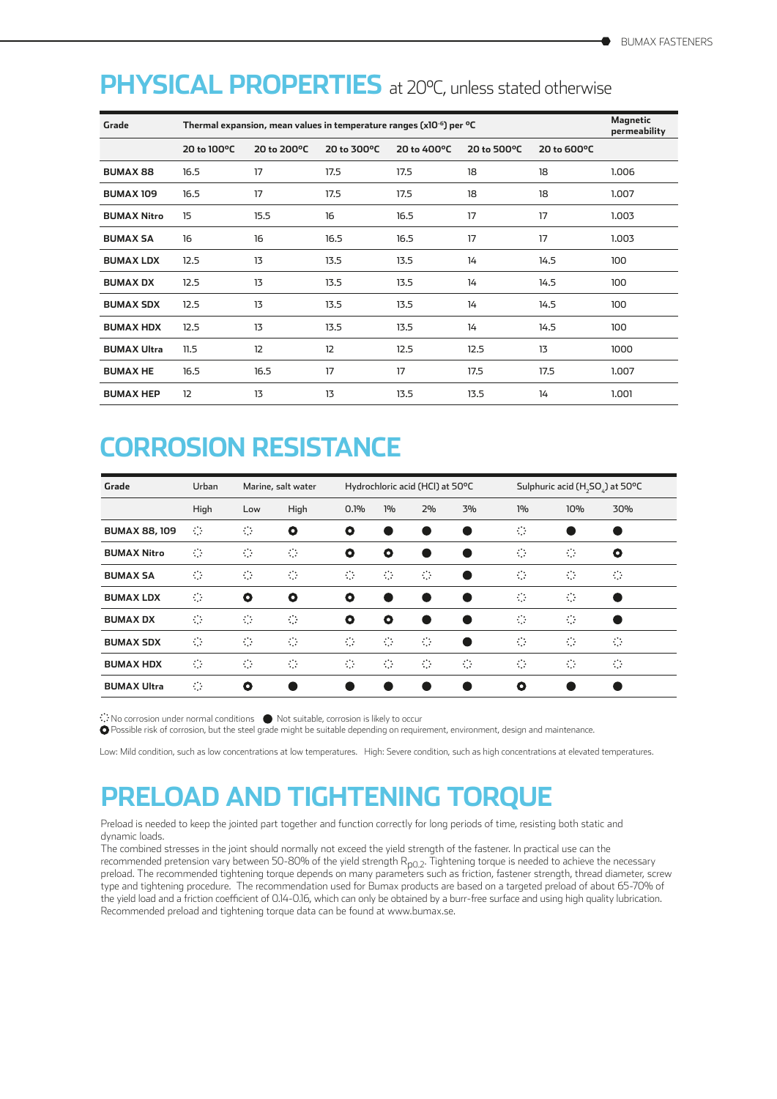#### PHYSICAL PROPERTIES at 20°C, unless stated otherwise

| Grade              | Thermal expansion, mean values in temperature ranges (x10 <sup>-6</sup> ) per <sup>o</sup> C |             |             |             |             |             |       |  |
|--------------------|----------------------------------------------------------------------------------------------|-------------|-------------|-------------|-------------|-------------|-------|--|
|                    | 20 to 100°C                                                                                  | 20 to 200°C | 20 to 300°C | 20 to 400°C | 20 to 500°C | 20 to 600°C |       |  |
| <b>BUMAX 88</b>    | 16.5                                                                                         | 17          | 17.5        | 17.5        | 18          | 18          | 1.006 |  |
| <b>BUMAX 109</b>   | 16.5                                                                                         | 17          | 17.5        | 17.5        | 18          | 18          | 1.007 |  |
| <b>BUMAX Nitro</b> | 15                                                                                           | 15.5        | 16          | 16.5        | 17          | 17          | 1.003 |  |
| <b>BUMAX SA</b>    | 16                                                                                           | 16          | 16.5        | 16.5        | 17          | 17          | 1.003 |  |
| <b>BUMAX LDX</b>   | 12.5                                                                                         | 13          | 13.5        | 13.5        | 14          | 14.5        | 100   |  |
| <b>BUMAX DX</b>    | 12.5                                                                                         | 13          | 13.5        | 13.5        | 14          | 14.5        | 100   |  |
| <b>BUMAX SDX</b>   | 12.5                                                                                         | 13          | 13.5        | 13.5        | 14          | 14.5        | 100   |  |
| <b>BUMAX HDX</b>   | 12.5                                                                                         | 13          | 13.5        | 13.5        | 14          | 14.5        | 100   |  |
| <b>BUMAX Ultra</b> | 11.5                                                                                         | 12          | 12          | 12.5        | 12.5        | 13          | 1000  |  |
| <b>BUMAX HE</b>    | 16.5                                                                                         | 16.5        | 17          | 17          | 17.5        | 17.5        | 1.007 |  |
| <b>BUMAX HEP</b>   | 12                                                                                           | 13          | 13          | 13.5        | 13.5        | 14          | 1.001 |  |

### **CORROSION RESISTANCE**

| Grade                | Urban          |           | Marine, salt water<br>Hydrochloric acid (HCl) at 50°C |           |                | Sulphuric acid (H <sub>2</sub> SO <sub>2</sub> ) at 50°C |    |                           |                |     |
|----------------------|----------------|-----------|-------------------------------------------------------|-----------|----------------|----------------------------------------------------------|----|---------------------------|----------------|-----|
|                      | High           | Low       | High                                                  | 0.1%      | 1%             | 2%                                                       | 3% | 1%                        | 10%            | 30% |
| <b>BUMAX 88, 109</b> | $\circ$        | $\circ$   | O                                                     | O         |                |                                                          |    | $\circ$                   |                |     |
| <b>BUMAX Nitro</b>   | ं              | O         | ≎                                                     | O         | O              |                                                          |    | ं                         | ⇔              | O   |
| <b>BUMAX SA</b>      | ं              | $\circ$   | $\circ$                                               | ं         | ⇔              | $\circ$                                                  |    | $\circ$                   | ⇔              | ≎   |
| <b>BUMAX LDX</b>     | ं              | $\bullet$ | $\bullet$                                             | $\bullet$ | $\bullet$      |                                                          | e  | $\mathbb{C}^{\mathbb{N}}$ | €              |     |
| <b>BUMAX DX</b>      | $\circ$        | ≎         | O.                                                    | $\bullet$ | O              |                                                          |    | ⇔                         | ⇔              |     |
| <b>BUMAX SDX</b>     | ं              | $\circ$   | $\circ$                                               | ं         | $\mathbb{C}^*$ | $\circ$                                                  |    | $\circ$                   | $\ddot{\odot}$ | ≎   |
| <b>BUMAX HDX</b>     | ं              | €         | o                                                     | ं         | €              | Đ.                                                       | ⇔  | ं                         | ⇔              | ≎   |
| <b>BUMAX Ultra</b>   | $\mathbb{C}^2$ | $\bullet$ |                                                       |           |                |                                                          |    | $\bullet$                 |                |     |

No corrosion under normal conditions  $\qquad \qquad$  Not suitable, corrosion is likely to occur

Possible risk of corrosion, but the steel grade might be suitable depending on requirement, environment, design and maintenance.

Low: Mild condition, such as low concentrations at low temperatures. High: Severe condition, such as high concentrations at elevated temperatures.

### **PRELOAD AND TIGHTENING TORQUE**

Preload is needed to keep the jointed part together and function correctly for long periods of time, resisting both static and dynamic loads.

The combined stresses in the joint should normally not exceed the yield strength of the fastener. In practical use can the recommended pretension vary between 50-80% of the yield strength  $R_{p0.2}$ . Tightening torque is needed to achieve the necessary preload. The recommended tightening torque depends on many parameters such as friction, fastener strength, thread diameter, screw type and tightening procedure. The recommendation used for Bumax products are based on a targeted preload of about 65-70% of the yield load and a friction coefficient of 0.14-0.16, which can only be obtained by a burr-free surface and using high quality lubrication. Recommended preload and tightening torque data can be found at www.bumax.se.